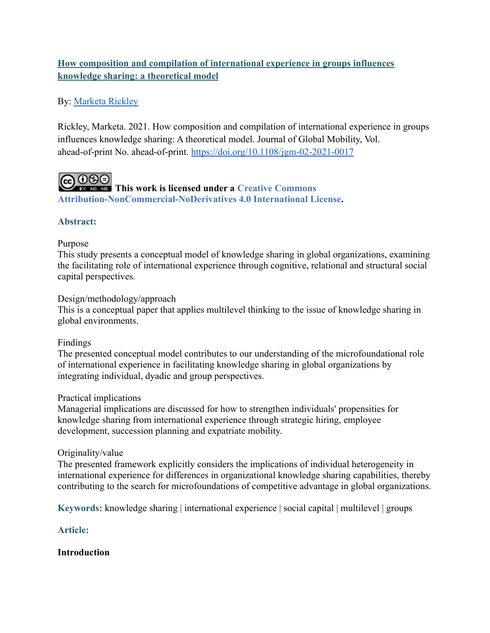# **How composition and compilation of international experience in groups influences knowledge sharing: a theoretical model**

# By: [Marketa Rickley](http://libres.uncg.edu/ir/uncg/clist.aspx?id=25815)

Rickley, Marketa. 2021. How composition and compilation of international experience in groups influences knowledge sharing: A theoretical model. Journal of Global Mobility, Vol. ahead-of-print No. ahead-of-print. <https://doi.org/10.1108/jgm-02-2021-0017>

**COOSE**<br>This work is licensed under a [Creative Commons](http://creativecommons.org/licenses/by-nc-nd/4.0/) **[Attribution-NonCommercial-NoDerivatives 4.0 International License](http://creativecommons.org/licenses/by-nc-nd/4.0/).**

# **Abstract:**

## Purpose

This study presents a conceptual model of knowledge sharing in global organizations, examining the facilitating role of international experience through cognitive, relational and structural social capital perspectives.

## Design/methodology/approach

This is a conceptual paper that applies multilevel thinking to the issue of knowledge sharing in global environments.

# Findings

The presented conceptual model contributes to our understanding of the microfoundational role of international experience in facilitating knowledge sharing in global organizations by integrating individual, dyadic and group perspectives.

# Practical implications

Managerial implications are discussed for how to strengthen individuals' propensities for knowledge sharing from international experience through strategic hiring, employee development, succession planning and expatriate mobility.

# Originality/value

The presented framework explicitly considers the implications of individual heterogeneity in international experience for differences in organizational knowledge sharing capabilities, thereby contributing to the search for microfoundations of competitive advantage in global organizations.

**Keywords:** knowledge sharing | international experience | social capital | multilevel | groups

# **Article:**

# **Introduction**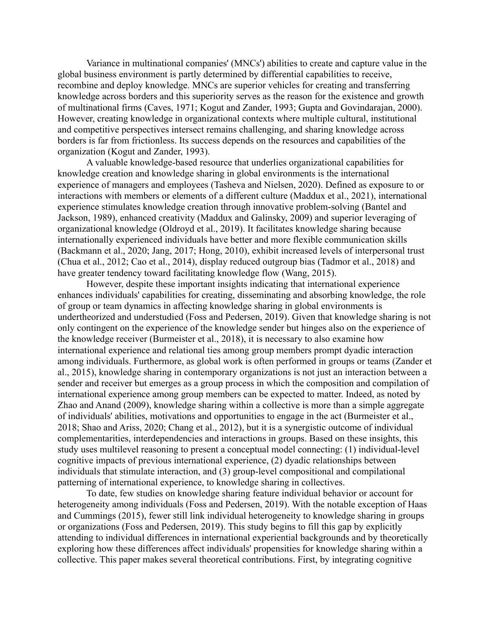Variance in multinational companies' (MNCs') abilities to create and capture value in the global business environment is partly determined by differential capabilities to receive, recombine and deploy knowledge. MNCs are superior vehicles for creating and transferring knowledge across borders and this superiority serves as the reason for the existence and growth of multinational firms (Caves, 1971; Kogut and Zander, 1993; Gupta and Govindarajan, 2000). However, creating knowledge in organizational contexts where multiple cultural, institutional and competitive perspectives intersect remains challenging, and sharing knowledge across borders is far from frictionless. Its success depends on the resources and capabilities of the organization (Kogut and Zander, 1993).

A valuable knowledge-based resource that underlies organizational capabilities for knowledge creation and knowledge sharing in global environments is the international experience of managers and employees (Tasheva and Nielsen, 2020). Defined as exposure to or interactions with members or elements of a different culture (Maddux et al., 2021), international experience stimulates knowledge creation through innovative problem-solving (Bantel and Jackson, 1989), enhanced creativity (Maddux and Galinsky, 2009) and superior leveraging of organizational knowledge (Oldroyd et al., 2019). It facilitates knowledge sharing because internationally experienced individuals have better and more flexible communication skills (Backmann et al., 2020; Jang, 2017; Hong, 2010), exhibit increased levels of interpersonal trust (Chua et al., 2012; Cao et al., 2014), display reduced outgroup bias (Tadmor et al., 2018) and have greater tendency toward facilitating knowledge flow (Wang, 2015).

However, despite these important insights indicating that international experience enhances individuals' capabilities for creating, disseminating and absorbing knowledge, the role of group or team dynamics in affecting knowledge sharing in global environments is undertheorized and understudied (Foss and Pedersen, 2019). Given that knowledge sharing is not only contingent on the experience of the knowledge sender but hinges also on the experience of the knowledge receiver (Burmeister et al., 2018), it is necessary to also examine how international experience and relational ties among group members prompt dyadic interaction among individuals. Furthermore, as global work is often performed in groups or teams (Zander et al., 2015), knowledge sharing in contemporary organizations is not just an interaction between a sender and receiver but emerges as a group process in which the composition and compilation of international experience among group members can be expected to matter. Indeed, as noted by Zhao and Anand (2009), knowledge sharing within a collective is more than a simple aggregate of individuals' abilities, motivations and opportunities to engage in the act (Burmeister et al., 2018; Shao and Ariss, 2020; Chang et al., 2012), but it is a synergistic outcome of individual complementarities, interdependencies and interactions in groups. Based on these insights, this study uses multilevel reasoning to present a conceptual model connecting: (1) individual-level cognitive impacts of previous international experience, (2) dyadic relationships between individuals that stimulate interaction, and (3) group-level compositional and compilational patterning of international experience, to knowledge sharing in collectives.

To date, few studies on knowledge sharing feature individual behavior or account for heterogeneity among individuals (Foss and Pedersen, 2019). With the notable exception of Haas and Cummings (2015), fewer still link individual heterogeneity to knowledge sharing in groups or organizations (Foss and Pedersen, 2019). This study begins to fill this gap by explicitly attending to individual differences in international experiential backgrounds and by theoretically exploring how these differences affect individuals' propensities for knowledge sharing within a collective. This paper makes several theoretical contributions. First, by integrating cognitive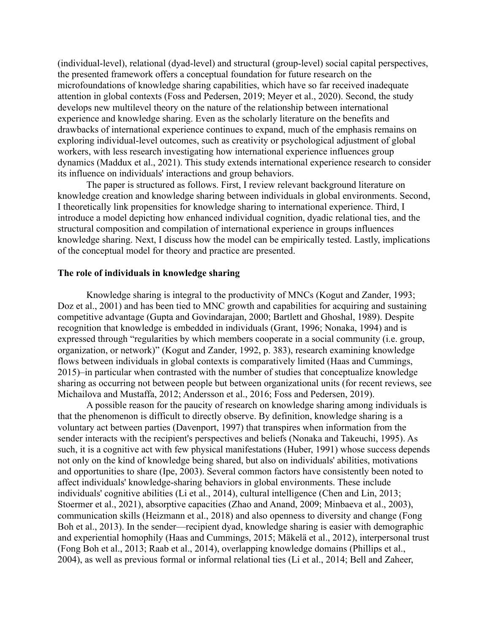(individual-level), relational (dyad-level) and structural (group-level) social capital perspectives, the presented framework offers a conceptual foundation for future research on the microfoundations of knowledge sharing capabilities, which have so far received inadequate attention in global contexts (Foss and Pedersen, 2019; Meyer et al., 2020). Second, the study develops new multilevel theory on the nature of the relationship between international experience and knowledge sharing. Even as the scholarly literature on the benefits and drawbacks of international experience continues to expand, much of the emphasis remains on exploring individual-level outcomes, such as creativity or psychological adjustment of global workers, with less research investigating how international experience influences group dynamics (Maddux et al., 2021). This study extends international experience research to consider its influence on individuals' interactions and group behaviors.

The paper is structured as follows. First, I review relevant background literature on knowledge creation and knowledge sharing between individuals in global environments. Second, I theoretically link propensities for knowledge sharing to international experience. Third, I introduce a model depicting how enhanced individual cognition, dyadic relational ties, and the structural composition and compilation of international experience in groups influences knowledge sharing. Next, I discuss how the model can be empirically tested. Lastly, implications of the conceptual model for theory and practice are presented.

#### **The role of individuals in knowledge sharing**

Knowledge sharing is integral to the productivity of MNCs (Kogut and Zander, 1993; Doz et al., 2001) and has been tied to MNC growth and capabilities for acquiring and sustaining competitive advantage (Gupta and Govindarajan, 2000; Bartlett and Ghoshal, 1989). Despite recognition that knowledge is embedded in individuals (Grant, 1996; Nonaka, 1994) and is expressed through "regularities by which members cooperate in a social community (i.e. group, organization, or network)" (Kogut and Zander, 1992, p. 383), research examining knowledge flows between individuals in global contexts is comparatively limited (Haas and Cummings, 2015)–in particular when contrasted with the number of studies that conceptualize knowledge sharing as occurring not between people but between organizational units (for recent reviews, see Michailova and Mustaffa, 2012; Andersson et al., 2016; Foss and Pedersen, 2019).

A possible reason for the paucity of research on knowledge sharing among individuals is that the phenomenon is difficult to directly observe. By definition, knowledge sharing is a voluntary act between parties (Davenport, 1997) that transpires when information from the sender interacts with the recipient's perspectives and beliefs (Nonaka and Takeuchi, 1995). As such, it is a cognitive act with few physical manifestations (Huber, 1991) whose success depends not only on the kind of knowledge being shared, but also on individuals' abilities, motivations and opportunities to share (Ipe, 2003). Several common factors have consistently been noted to affect individuals' knowledge-sharing behaviors in global environments. These include individuals' cognitive abilities (Li et al., 2014), cultural intelligence (Chen and Lin, 2013; Stoermer et al., 2021), absorptive capacities (Zhao and Anand, 2009; Minbaeva et al., 2003), communication skills (Heizmann et al., 2018) and also openness to diversity and change (Fong Boh et al., 2013). In the sender—recipient dyad, knowledge sharing is easier with demographic and experiential homophily (Haas and Cummings, 2015; Mäkelä et al., 2012), interpersonal trust (Fong Boh et al., 2013; Raab et al., 2014), overlapping knowledge domains (Phillips et al., 2004), as well as previous formal or informal relational ties (Li et al., 2014; Bell and Zaheer,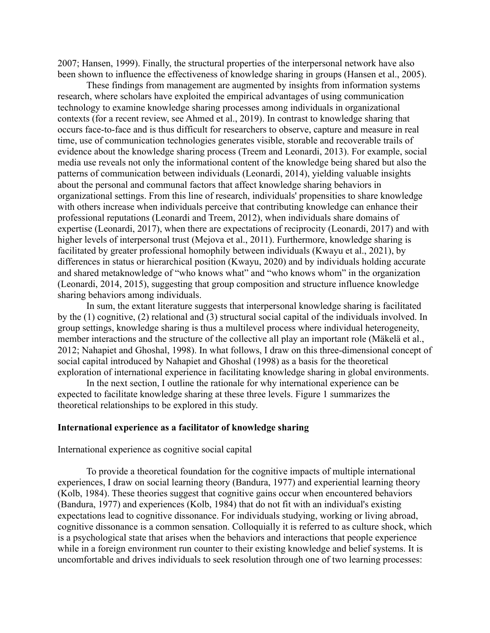2007; Hansen, 1999). Finally, the structural properties of the interpersonal network have also been shown to influence the effectiveness of knowledge sharing in groups (Hansen et al., 2005).

These findings from management are augmented by insights from information systems research, where scholars have exploited the empirical advantages of using communication technology to examine knowledge sharing processes among individuals in organizational contexts (for a recent review, see Ahmed et al., 2019). In contrast to knowledge sharing that occurs face-to-face and is thus difficult for researchers to observe, capture and measure in real time, use of communication technologies generates visible, storable and recoverable trails of evidence about the knowledge sharing process (Treem and Leonardi, 2013). For example, social media use reveals not only the informational content of the knowledge being shared but also the patterns of communication between individuals (Leonardi, 2014), yielding valuable insights about the personal and communal factors that affect knowledge sharing behaviors in organizational settings. From this line of research, individuals' propensities to share knowledge with others increase when individuals perceive that contributing knowledge can enhance their professional reputations (Leonardi and Treem, 2012), when individuals share domains of expertise (Leonardi, 2017), when there are expectations of reciprocity (Leonardi, 2017) and with higher levels of interpersonal trust (Mejova et al., 2011). Furthermore, knowledge sharing is facilitated by greater professional homophily between individuals (Kwayu et al., 2021), by differences in status or hierarchical position (Kwayu, 2020) and by individuals holding accurate and shared metaknowledge of "who knows what" and "who knows whom" in the organization (Leonardi, 2014, 2015), suggesting that group composition and structure influence knowledge sharing behaviors among individuals.

In sum, the extant literature suggests that interpersonal knowledge sharing is facilitated by the (1) cognitive, (2) relational and (3) structural social capital of the individuals involved. In group settings, knowledge sharing is thus a multilevel process where individual heterogeneity, member interactions and the structure of the collective all play an important role (Mäkelä et al., 2012; Nahapiet and Ghoshal, 1998). In what follows, I draw on this three-dimensional concept of social capital introduced by Nahapiet and Ghoshal (1998) as a basis for the theoretical exploration of international experience in facilitating knowledge sharing in global environments.

In the next section, I outline the rationale for why international experience can be expected to facilitate knowledge sharing at these three levels. Figure 1 summarizes the theoretical relationships to be explored in this study.

## **International experience as a facilitator of knowledge sharing**

International experience as cognitive social capital

To provide a theoretical foundation for the cognitive impacts of multiple international experiences, I draw on social learning theory (Bandura, 1977) and experiential learning theory (Kolb, 1984). These theories suggest that cognitive gains occur when encountered behaviors (Bandura, 1977) and experiences (Kolb, 1984) that do not fit with an individual's existing expectations lead to cognitive dissonance. For individuals studying, working or living abroad, cognitive dissonance is a common sensation. Colloquially it is referred to as culture shock, which is a psychological state that arises when the behaviors and interactions that people experience while in a foreign environment run counter to their existing knowledge and belief systems. It is uncomfortable and drives individuals to seek resolution through one of two learning processes: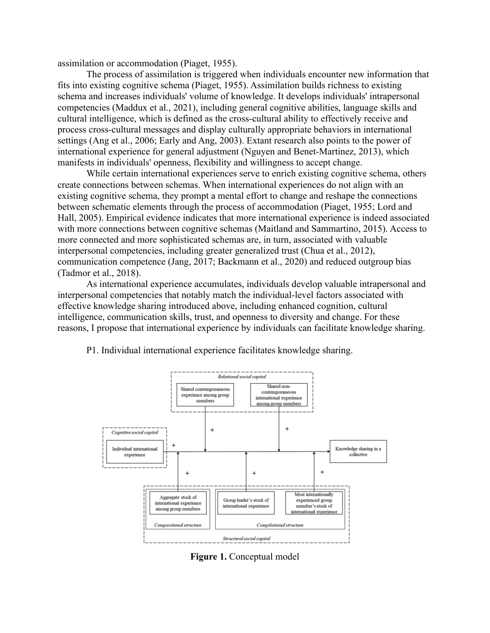assimilation or accommodation (Piaget, 1955).

The process of assimilation is triggered when individuals encounter new information that fits into existing cognitive schema (Piaget, 1955). Assimilation builds richness to existing schema and increases individuals' volume of knowledge. It develops individuals' intrapersonal competencies (Maddux et al., 2021), including general cognitive abilities, language skills and cultural intelligence, which is defined as the cross-cultural ability to effectively receive and process cross-cultural messages and display culturally appropriate behaviors in international settings (Ang et al., 2006; Early and Ang, 2003). Extant research also points to the power of international experience for general adjustment (Nguyen and Benet-Martinez, 2013), which manifests in individuals' openness, flexibility and willingness to accept change.

While certain international experiences serve to enrich existing cognitive schema, others create connections between schemas. When international experiences do not align with an existing cognitive schema, they prompt a mental effort to change and reshape the connections between schematic elements through the process of accommodation (Piaget, 1955; Lord and Hall, 2005). Empirical evidence indicates that more international experience is indeed associated with more connections between cognitive schemas (Maitland and Sammartino, 2015). Access to more connected and more sophisticated schemas are, in turn, associated with valuable interpersonal competencies, including greater generalized trust (Chua et al., 2012), communication competence (Jang, 2017; Backmann et al., 2020) and reduced outgroup bias (Tadmor et al., 2018).

As international experience accumulates, individuals develop valuable intrapersonal and interpersonal competencies that notably match the individual-level factors associated with effective knowledge sharing introduced above, including enhanced cognition, cultural intelligence, communication skills, trust, and openness to diversity and change. For these reasons, I propose that international experience by individuals can facilitate knowledge sharing.





**Figure 1.** Conceptual model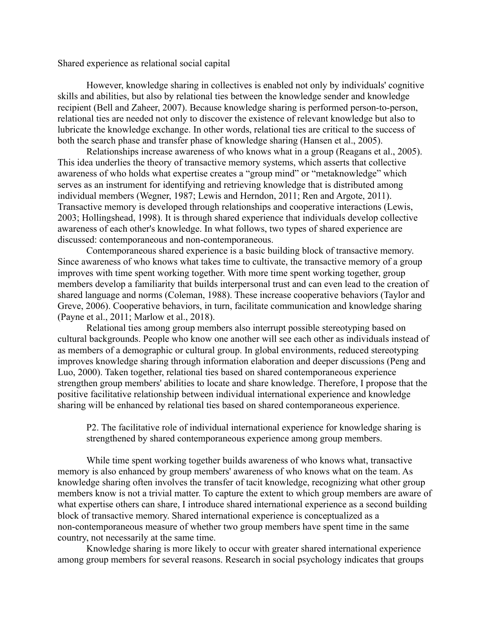Shared experience as relational social capital

However, knowledge sharing in collectives is enabled not only by individuals' cognitive skills and abilities, but also by relational ties between the knowledge sender and knowledge recipient (Bell and Zaheer, 2007). Because knowledge sharing is performed person-to-person, relational ties are needed not only to discover the existence of relevant knowledge but also to lubricate the knowledge exchange. In other words, relational ties are critical to the success of both the search phase and transfer phase of knowledge sharing (Hansen et al., 2005).

Relationships increase awareness of who knows what in a group (Reagans et al., 2005). This idea underlies the theory of transactive memory systems, which asserts that collective awareness of who holds what expertise creates a "group mind" or "metaknowledge" which serves as an instrument for identifying and retrieving knowledge that is distributed among individual members (Wegner, 1987; Lewis and Herndon, 2011; Ren and Argote, 2011). Transactive memory is developed through relationships and cooperative interactions (Lewis, 2003; Hollingshead, 1998). It is through shared experience that individuals develop collective awareness of each other's knowledge. In what follows, two types of shared experience are discussed: contemporaneous and non-contemporaneous.

Contemporaneous shared experience is a basic building block of transactive memory. Since awareness of who knows what takes time to cultivate, the transactive memory of a group improves with time spent working together. With more time spent working together, group members develop a familiarity that builds interpersonal trust and can even lead to the creation of shared language and norms (Coleman, 1988). These increase cooperative behaviors (Taylor and Greve, 2006). Cooperative behaviors, in turn, facilitate communication and knowledge sharing (Payne et al., 2011; Marlow et al., 2018).

Relational ties among group members also interrupt possible stereotyping based on cultural backgrounds. People who know one another will see each other as individuals instead of as members of a demographic or cultural group. In global environments, reduced stereotyping improves knowledge sharing through information elaboration and deeper discussions (Peng and Luo, 2000). Taken together, relational ties based on shared contemporaneous experience strengthen group members' abilities to locate and share knowledge. Therefore, I propose that the positive facilitative relationship between individual international experience and knowledge sharing will be enhanced by relational ties based on shared contemporaneous experience.

P2. The facilitative role of individual international experience for knowledge sharing is strengthened by shared contemporaneous experience among group members.

While time spent working together builds awareness of who knows what, transactive memory is also enhanced by group members' awareness of who knows what on the team. As knowledge sharing often involves the transfer of tacit knowledge, recognizing what other group members know is not a trivial matter. To capture the extent to which group members are aware of what expertise others can share, I introduce shared international experience as a second building block of transactive memory. Shared international experience is conceptualized as a non-contemporaneous measure of whether two group members have spent time in the same country, not necessarily at the same time.

Knowledge sharing is more likely to occur with greater shared international experience among group members for several reasons. Research in social psychology indicates that groups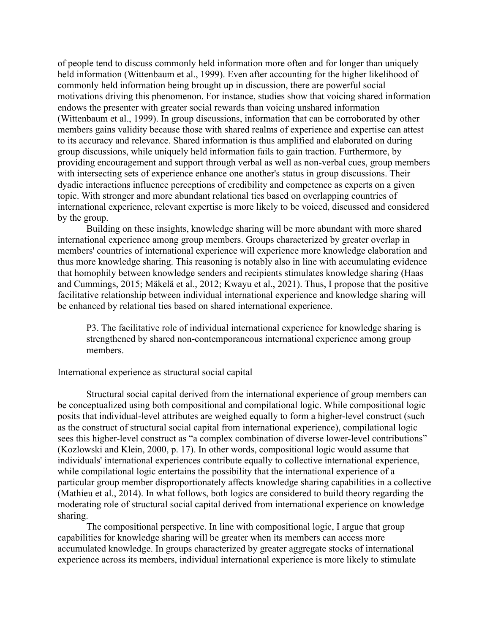of people tend to discuss commonly held information more often and for longer than uniquely held information (Wittenbaum et al., 1999). Even after accounting for the higher likelihood of commonly held information being brought up in discussion, there are powerful social motivations driving this phenomenon. For instance, studies show that voicing shared information endows the presenter with greater social rewards than voicing unshared information (Wittenbaum et al., 1999). In group discussions, information that can be corroborated by other members gains validity because those with shared realms of experience and expertise can attest to its accuracy and relevance. Shared information is thus amplified and elaborated on during group discussions, while uniquely held information fails to gain traction. Furthermore, by providing encouragement and support through verbal as well as non-verbal cues, group members with intersecting sets of experience enhance one another's status in group discussions. Their dyadic interactions influence perceptions of credibility and competence as experts on a given topic. With stronger and more abundant relational ties based on overlapping countries of international experience, relevant expertise is more likely to be voiced, discussed and considered by the group.

Building on these insights, knowledge sharing will be more abundant with more shared international experience among group members. Groups characterized by greater overlap in members' countries of international experience will experience more knowledge elaboration and thus more knowledge sharing. This reasoning is notably also in line with accumulating evidence that homophily between knowledge senders and recipients stimulates knowledge sharing (Haas and Cummings, 2015; Mäkelä et al., 2012; Kwayu et al., 2021). Thus, I propose that the positive facilitative relationship between individual international experience and knowledge sharing will be enhanced by relational ties based on shared international experience.

P3. The facilitative role of individual international experience for knowledge sharing is strengthened by shared non-contemporaneous international experience among group members.

### International experience as structural social capital

Structural social capital derived from the international experience of group members can be conceptualized using both compositional and compilational logic. While compositional logic posits that individual-level attributes are weighed equally to form a higher-level construct (such as the construct of structural social capital from international experience), compilational logic sees this higher-level construct as "a complex combination of diverse lower-level contributions" (Kozlowski and Klein, 2000, p. 17). In other words, compositional logic would assume that individuals' international experiences contribute equally to collective international experience, while compilational logic entertains the possibility that the international experience of a particular group member disproportionately affects knowledge sharing capabilities in a collective (Mathieu et al., 2014). In what follows, both logics are considered to build theory regarding the moderating role of structural social capital derived from international experience on knowledge sharing.

The compositional perspective. In line with compositional logic, I argue that group capabilities for knowledge sharing will be greater when its members can access more accumulated knowledge. In groups characterized by greater aggregate stocks of international experience across its members, individual international experience is more likely to stimulate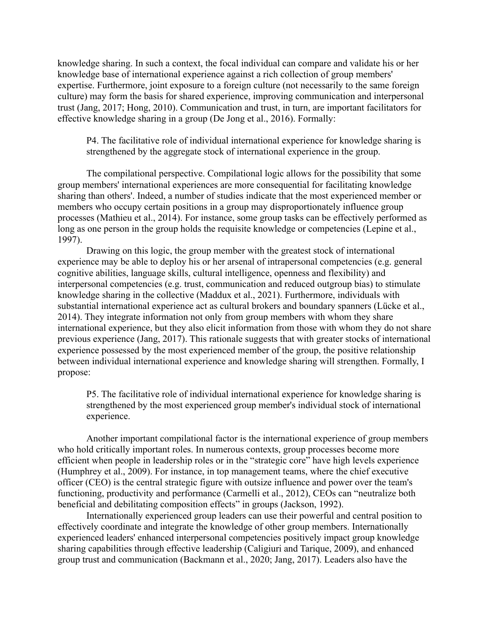knowledge sharing. In such a context, the focal individual can compare and validate his or her knowledge base of international experience against a rich collection of group members' expertise. Furthermore, joint exposure to a foreign culture (not necessarily to the same foreign culture) may form the basis for shared experience, improving communication and interpersonal trust (Jang, 2017; Hong, 2010). Communication and trust, in turn, are important facilitators for effective knowledge sharing in a group (De Jong et al., 2016). Formally:

P4. The facilitative role of individual international experience for knowledge sharing is strengthened by the aggregate stock of international experience in the group.

The compilational perspective. Compilational logic allows for the possibility that some group members' international experiences are more consequential for facilitating knowledge sharing than others'. Indeed, a number of studies indicate that the most experienced member or members who occupy certain positions in a group may disproportionately influence group processes (Mathieu et al., 2014). For instance, some group tasks can be effectively performed as long as one person in the group holds the requisite knowledge or competencies (Lepine et al., 1997).

Drawing on this logic, the group member with the greatest stock of international experience may be able to deploy his or her arsenal of intrapersonal competencies (e.g. general cognitive abilities, language skills, cultural intelligence, openness and flexibility) and interpersonal competencies (e.g. trust, communication and reduced outgroup bias) to stimulate knowledge sharing in the collective (Maddux et al., 2021). Furthermore, individuals with substantial international experience act as cultural brokers and boundary spanners (Lücke et al., 2014). They integrate information not only from group members with whom they share international experience, but they also elicit information from those with whom they do not share previous experience (Jang, 2017). This rationale suggests that with greater stocks of international experience possessed by the most experienced member of the group, the positive relationship between individual international experience and knowledge sharing will strengthen. Formally, I propose:

P5. The facilitative role of individual international experience for knowledge sharing is strengthened by the most experienced group member's individual stock of international experience.

Another important compilational factor is the international experience of group members who hold critically important roles. In numerous contexts, group processes become more efficient when people in leadership roles or in the "strategic core" have high levels experience (Humphrey et al., 2009). For instance, in top management teams, where the chief executive officer (CEO) is the central strategic figure with outsize influence and power over the team's functioning, productivity and performance (Carmelli et al., 2012), CEOs can "neutralize both beneficial and debilitating composition effects" in groups (Jackson, 1992).

Internationally experienced group leaders can use their powerful and central position to effectively coordinate and integrate the knowledge of other group members. Internationally experienced leaders' enhanced interpersonal competencies positively impact group knowledge sharing capabilities through effective leadership (Caligiuri and Tarique, 2009), and enhanced group trust and communication (Backmann et al., 2020; Jang, 2017). Leaders also have the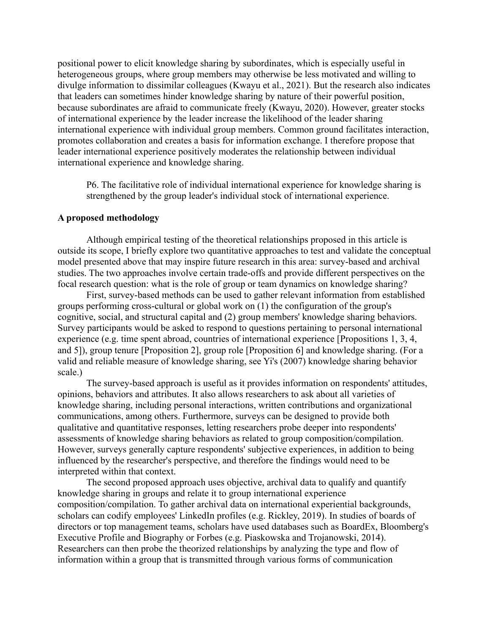positional power to elicit knowledge sharing by subordinates, which is especially useful in heterogeneous groups, where group members may otherwise be less motivated and willing to divulge information to dissimilar colleagues (Kwayu et al., 2021). But the research also indicates that leaders can sometimes hinder knowledge sharing by nature of their powerful position, because subordinates are afraid to communicate freely (Kwayu, 2020). However, greater stocks of international experience by the leader increase the likelihood of the leader sharing international experience with individual group members. Common ground facilitates interaction, promotes collaboration and creates a basis for information exchange. I therefore propose that leader international experience positively moderates the relationship between individual international experience and knowledge sharing.

P6. The facilitative role of individual international experience for knowledge sharing is strengthened by the group leader's individual stock of international experience.

#### **A proposed methodology**

Although empirical testing of the theoretical relationships proposed in this article is outside its scope, I briefly explore two quantitative approaches to test and validate the conceptual model presented above that may inspire future research in this area: survey-based and archival studies. The two approaches involve certain trade-offs and provide different perspectives on the focal research question: what is the role of group or team dynamics on knowledge sharing?

First, survey-based methods can be used to gather relevant information from established groups performing cross-cultural or global work on (1) the configuration of the group's cognitive, social, and structural capital and (2) group members' knowledge sharing behaviors. Survey participants would be asked to respond to questions pertaining to personal international experience (e.g. time spent abroad, countries of international experience [Propositions 1, 3, 4, and 5]), group tenure [Proposition 2], group role [Proposition 6] and knowledge sharing. (For a valid and reliable measure of knowledge sharing, see Yi's (2007) knowledge sharing behavior scale.)

The survey-based approach is useful as it provides information on respondents' attitudes, opinions, behaviors and attributes. It also allows researchers to ask about all varieties of knowledge sharing, including personal interactions, written contributions and organizational communications, among others. Furthermore, surveys can be designed to provide both qualitative and quantitative responses, letting researchers probe deeper into respondents' assessments of knowledge sharing behaviors as related to group composition/compilation. However, surveys generally capture respondents' subjective experiences, in addition to being influenced by the researcher's perspective, and therefore the findings would need to be interpreted within that context.

The second proposed approach uses objective, archival data to qualify and quantify knowledge sharing in groups and relate it to group international experience composition/compilation. To gather archival data on international experiential backgrounds, scholars can codify employees' LinkedIn profiles (e.g. Rickley, 2019). In studies of boards of directors or top management teams, scholars have used databases such as BoardEx, Bloomberg's Executive Profile and Biography or Forbes (e.g. Piaskowska and Trojanowski, 2014). Researchers can then probe the theorized relationships by analyzing the type and flow of information within a group that is transmitted through various forms of communication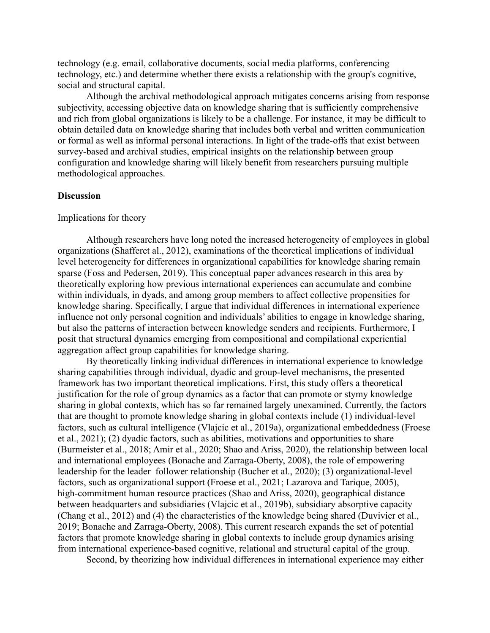technology (e.g. email, collaborative documents, social media platforms, conferencing technology, etc.) and determine whether there exists a relationship with the group's cognitive, social and structural capital.

Although the archival methodological approach mitigates concerns arising from response subjectivity, accessing objective data on knowledge sharing that is sufficiently comprehensive and rich from global organizations is likely to be a challenge. For instance, it may be difficult to obtain detailed data on knowledge sharing that includes both verbal and written communication or formal as well as informal personal interactions. In light of the trade-offs that exist between survey-based and archival studies, empirical insights on the relationship between group configuration and knowledge sharing will likely benefit from researchers pursuing multiple methodological approaches.

## **Discussion**

#### Implications for theory

Although researchers have long noted the increased heterogeneity of employees in global organizations (Shafferet al., 2012), examinations of the theoretical implications of individual level heterogeneity for differences in organizational capabilities for knowledge sharing remain sparse (Foss and Pedersen, 2019). This conceptual paper advances research in this area by theoretically exploring how previous international experiences can accumulate and combine within individuals, in dyads, and among group members to affect collective propensities for knowledge sharing. Specifically, I argue that individual differences in international experience influence not only personal cognition and individuals' abilities to engage in knowledge sharing, but also the patterns of interaction between knowledge senders and recipients. Furthermore, I posit that structural dynamics emerging from compositional and compilational experiential aggregation affect group capabilities for knowledge sharing.

By theoretically linking individual differences in international experience to knowledge sharing capabilities through individual, dyadic and group-level mechanisms, the presented framework has two important theoretical implications. First, this study offers a theoretical justification for the role of group dynamics as a factor that can promote or stymy knowledge sharing in global contexts, which has so far remained largely unexamined. Currently, the factors that are thought to promote knowledge sharing in global contexts include (1) individual-level factors, such as cultural intelligence (Vlajcic et al., 2019a), organizational embeddedness (Froese et al., 2021); (2) dyadic factors, such as abilities, motivations and opportunities to share (Burmeister et al., 2018; Amir et al., 2020; Shao and Ariss, 2020), the relationship between local and international employees (Bonache and Zarraga-Oberty, 2008), the role of empowering leadership for the leader–follower relationship (Bucher et al., 2020); (3) organizational-level factors, such as organizational support (Froese et al., 2021; Lazarova and Tarique, 2005), high-commitment human resource practices (Shao and Ariss, 2020), geographical distance between headquarters and subsidiaries (Vlajcic et al., 2019b), subsidiary absorptive capacity (Chang et al., 2012) and (4) the characteristics of the knowledge being shared (Duvivier et al., 2019; Bonache and Zarraga-Oberty, 2008). This current research expands the set of potential factors that promote knowledge sharing in global contexts to include group dynamics arising from international experience-based cognitive, relational and structural capital of the group.

Second, by theorizing how individual differences in international experience may either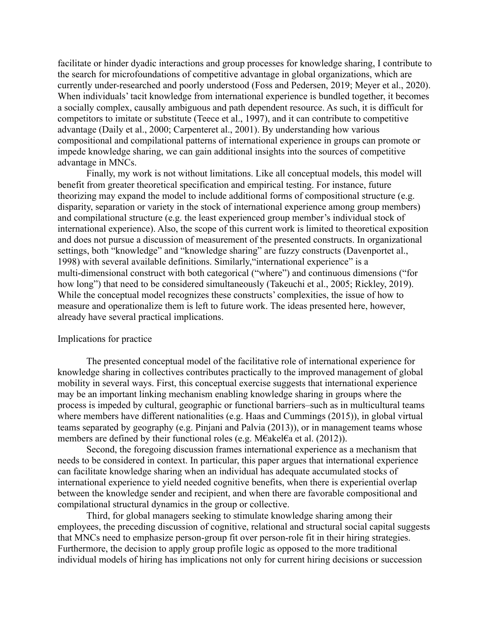facilitate or hinder dyadic interactions and group processes for knowledge sharing, I contribute to the search for microfoundations of competitive advantage in global organizations, which are currently under-researched and poorly understood (Foss and Pedersen, 2019; Meyer et al., 2020). When individuals' tacit knowledge from international experience is bundled together, it becomes a socially complex, causally ambiguous and path dependent resource. As such, it is difficult for competitors to imitate or substitute (Teece et al., 1997), and it can contribute to competitive advantage (Daily et al., 2000; Carpenteret al., 2001). By understanding how various compositional and compilational patterns of international experience in groups can promote or impede knowledge sharing, we can gain additional insights into the sources of competitive advantage in MNCs.

Finally, my work is not without limitations. Like all conceptual models, this model will benefit from greater theoretical specification and empirical testing. For instance, future theorizing may expand the model to include additional forms of compositional structure (e.g. disparity, separation or variety in the stock of international experience among group members) and compilational structure (e.g. the least experienced group member's individual stock of international experience). Also, the scope of this current work is limited to theoretical exposition and does not pursue a discussion of measurement of the presented constructs. In organizational settings, both "knowledge" and "knowledge sharing" are fuzzy constructs (Davenportet al., 1998) with several available definitions. Similarly,"international experience" is a multi-dimensional construct with both categorical ("where") and continuous dimensions ("for how long") that need to be considered simultaneously (Takeuchi et al., 2005; Rickley, 2019). While the conceptual model recognizes these constructs' complexities, the issue of how to measure and operationalize them is left to future work. The ideas presented here, however, already have several practical implications.

#### Implications for practice

The presented conceptual model of the facilitative role of international experience for knowledge sharing in collectives contributes practically to the improved management of global mobility in several ways. First, this conceptual exercise suggests that international experience may be an important linking mechanism enabling knowledge sharing in groups where the process is impeded by cultural, geographic or functional barriers–such as in multicultural teams where members have different nationalities (e.g. Haas and Cummings (2015)), in global virtual teams separated by geography (e.g. Pinjani and Palvia (2013)), or in management teams whose members are defined by their functional roles (e.g. M€akel€a et al. (2012)).

Second, the foregoing discussion frames international experience as a mechanism that needs to be considered in context. In particular, this paper argues that international experience can facilitate knowledge sharing when an individual has adequate accumulated stocks of international experience to yield needed cognitive benefits, when there is experiential overlap between the knowledge sender and recipient, and when there are favorable compositional and compilational structural dynamics in the group or collective.

Third, for global managers seeking to stimulate knowledge sharing among their employees, the preceding discussion of cognitive, relational and structural social capital suggests that MNCs need to emphasize person-group fit over person-role fit in their hiring strategies. Furthermore, the decision to apply group profile logic as opposed to the more traditional individual models of hiring has implications not only for current hiring decisions or succession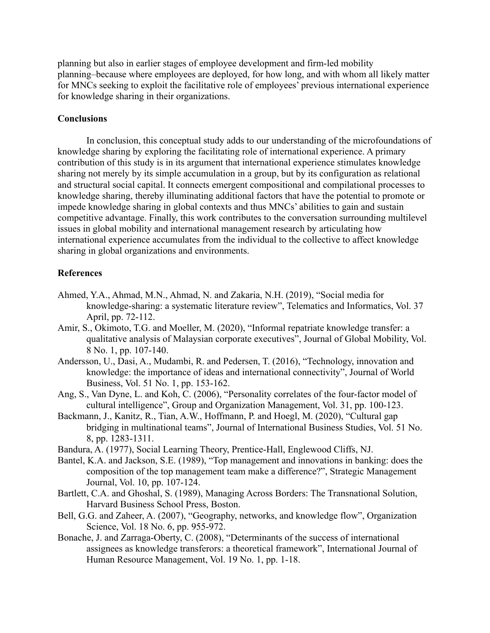planning but also in earlier stages of employee development and firm-led mobility planning–because where employees are deployed, for how long, and with whom all likely matter for MNCs seeking to exploit the facilitative role of employees' previous international experience for knowledge sharing in their organizations.

## **Conclusions**

In conclusion, this conceptual study adds to our understanding of the microfoundations of knowledge sharing by exploring the facilitating role of international experience. A primary contribution of this study is in its argument that international experience stimulates knowledge sharing not merely by its simple accumulation in a group, but by its configuration as relational and structural social capital. It connects emergent compositional and compilational processes to knowledge sharing, thereby illuminating additional factors that have the potential to promote or impede knowledge sharing in global contexts and thus MNCs' abilities to gain and sustain competitive advantage. Finally, this work contributes to the conversation surrounding multilevel issues in global mobility and international management research by articulating how international experience accumulates from the individual to the collective to affect knowledge sharing in global organizations and environments.

## **References**

- Ahmed, Y.A., Ahmad, M.N., Ahmad, N. and Zakaria, N.H. (2019), "Social media for knowledge-sharing: a systematic literature review", Telematics and Informatics, Vol. 37 April, pp. 72-112.
- Amir, S., Okimoto, T.G. and Moeller, M. (2020), "Informal repatriate knowledge transfer: a qualitative analysis of Malaysian corporate executives", Journal of Global Mobility, Vol. 8 No. 1, pp. 107-140.
- Andersson, U., Dasi, A., Mudambi, R. and Pedersen, T. (2016), "Technology, innovation and knowledge: the importance of ideas and international connectivity", Journal of World Business, Vol. 51 No. 1, pp. 153-162.
- Ang, S., Van Dyne, L. and Koh, C. (2006), "Personality correlates of the four-factor model of cultural intelligence", Group and Organization Management, Vol. 31, pp. 100-123.
- Backmann, J., Kanitz, R., Tian, A.W., Hoffmann, P. and Hoegl, M. (2020), "Cultural gap bridging in multinational teams", Journal of International Business Studies, Vol. 51 No. 8, pp. 1283-1311.
- Bandura, A. (1977), Social Learning Theory, Prentice-Hall, Englewood Cliffs, NJ.
- Bantel, K.A. and Jackson, S.E. (1989), "Top management and innovations in banking: does the composition of the top management team make a difference?", Strategic Management Journal, Vol. 10, pp. 107-124.
- Bartlett, C.A. and Ghoshal, S. (1989), Managing Across Borders: The Transnational Solution, Harvard Business School Press, Boston.
- Bell, G.G. and Zaheer, A. (2007), "Geography, networks, and knowledge flow", Organization Science, Vol. 18 No. 6, pp. 955-972.
- Bonache, J. and Zarraga-Oberty, C. (2008), "Determinants of the success of international assignees as knowledge transferors: a theoretical framework", International Journal of Human Resource Management, Vol. 19 No. 1, pp. 1-18.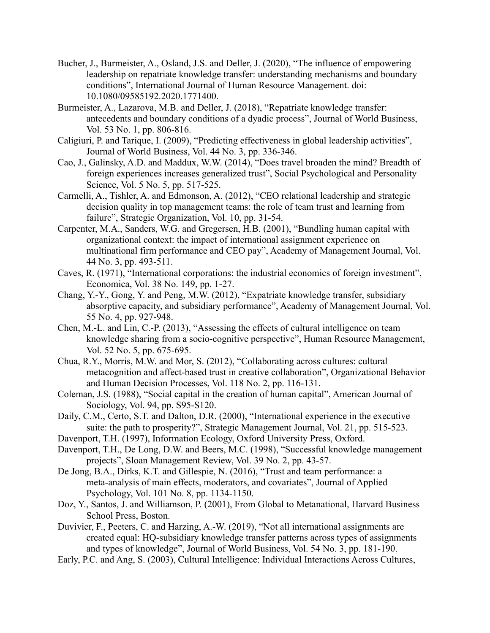- Bucher, J., Burmeister, A., Osland, J.S. and Deller, J. (2020), "The influence of empowering leadership on repatriate knowledge transfer: understanding mechanisms and boundary conditions", International Journal of Human Resource Management. doi: 10.1080/09585192.2020.1771400.
- Burmeister, A., Lazarova, M.B. and Deller, J. (2018), "Repatriate knowledge transfer: antecedents and boundary conditions of a dyadic process", Journal of World Business, Vol. 53 No. 1, pp. 806-816.
- Caligiuri, P. and Tarique, I. (2009), "Predicting effectiveness in global leadership activities", Journal of World Business, Vol. 44 No. 3, pp. 336-346.
- Cao, J., Galinsky, A.D. and Maddux, W.W. (2014), "Does travel broaden the mind? Breadth of foreign experiences increases generalized trust", Social Psychological and Personality Science, Vol. 5 No. 5, pp. 517-525.
- Carmelli, A., Tishler, A. and Edmonson, A. (2012), "CEO relational leadership and strategic decision quality in top management teams: the role of team trust and learning from failure", Strategic Organization, Vol. 10, pp. 31-54.
- Carpenter, M.A., Sanders, W.G. and Gregersen, H.B. (2001), "Bundling human capital with organizational context: the impact of international assignment experience on multinational firm performance and CEO pay", Academy of Management Journal, Vol. 44 No. 3, pp. 493-511.
- Caves, R. (1971), "International corporations: the industrial economics of foreign investment", Economica, Vol. 38 No. 149, pp. 1-27.
- Chang, Y.-Y., Gong, Y. and Peng, M.W. (2012), "Expatriate knowledge transfer, subsidiary absorptive capacity, and subsidiary performance", Academy of Management Journal, Vol. 55 No. 4, pp. 927-948.
- Chen, M.-L. and Lin, C.-P. (2013), "Assessing the effects of cultural intelligence on team knowledge sharing from a socio-cognitive perspective", Human Resource Management, Vol. 52 No. 5, pp. 675-695.
- Chua, R.Y., Morris, M.W. and Mor, S. (2012), "Collaborating across cultures: cultural metacognition and affect-based trust in creative collaboration", Organizational Behavior and Human Decision Processes, Vol. 118 No. 2, pp. 116-131.
- Coleman, J.S. (1988), "Social capital in the creation of human capital", American Journal of Sociology, Vol. 94, pp. S95-S120.
- Daily, C.M., Certo, S.T. and Dalton, D.R. (2000), "International experience in the executive suite: the path to prosperity?", Strategic Management Journal, Vol. 21, pp. 515-523.
- Davenport, T.H. (1997), Information Ecology, Oxford University Press, Oxford.
- Davenport, T.H., De Long, D.W. and Beers, M.C. (1998), "Successful knowledge management projects", Sloan Management Review, Vol. 39 No. 2, pp. 43-57.
- De Jong, B.A., Dirks, K.T. and Gillespie, N. (2016), "Trust and team performance: a meta-analysis of main effects, moderators, and covariates", Journal of Applied Psychology, Vol. 101 No. 8, pp. 1134-1150.
- Doz, Y., Santos, J. and Williamson, P. (2001), From Global to Metanational, Harvard Business School Press, Boston.
- Duvivier, F., Peeters, C. and Harzing, A.-W. (2019), "Not all international assignments are created equal: HQ-subsidiary knowledge transfer patterns across types of assignments and types of knowledge", Journal of World Business, Vol. 54 No. 3, pp. 181-190.
- Early, P.C. and Ang, S. (2003), Cultural Intelligence: Individual Interactions Across Cultures,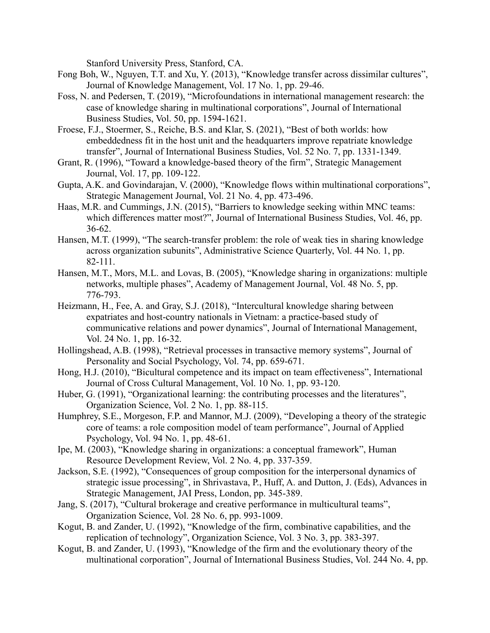Stanford University Press, Stanford, CA.

- Fong Boh, W., Nguyen, T.T. and Xu, Y. (2013), "Knowledge transfer across dissimilar cultures", Journal of Knowledge Management, Vol. 17 No. 1, pp. 29-46.
- Foss, N. and Pedersen, T. (2019), "Microfoundations in international management research: the case of knowledge sharing in multinational corporations", Journal of International Business Studies, Vol. 50, pp. 1594-1621.
- Froese, F.J., Stoermer, S., Reiche, B.S. and Klar, S. (2021), "Best of both worlds: how embeddedness fit in the host unit and the headquarters improve repatriate knowledge transfer", Journal of International Business Studies, Vol. 52 No. 7, pp. 1331-1349.
- Grant, R. (1996), "Toward a knowledge-based theory of the firm", Strategic Management Journal, Vol. 17, pp. 109-122.
- Gupta, A.K. and Govindarajan, V. (2000), "Knowledge flows within multinational corporations", Strategic Management Journal, Vol. 21 No. 4, pp. 473-496.
- Haas, M.R. and Cummings, J.N. (2015), "Barriers to knowledge seeking within MNC teams: which differences matter most?", Journal of International Business Studies, Vol. 46, pp. 36-62.
- Hansen, M.T. (1999), "The search-transfer problem: the role of weak ties in sharing knowledge across organization subunits", Administrative Science Quarterly, Vol. 44 No. 1, pp. 82-111.
- Hansen, M.T., Mors, M.L. and Lovas, B. (2005), "Knowledge sharing in organizations: multiple networks, multiple phases", Academy of Management Journal, Vol. 48 No. 5, pp. 776-793.
- Heizmann, H., Fee, A. and Gray, S.J. (2018), "Intercultural knowledge sharing between expatriates and host-country nationals in Vietnam: a practice-based study of communicative relations and power dynamics", Journal of International Management, Vol. 24 No. 1, pp. 16-32.
- Hollingshead, A.B. (1998), "Retrieval processes in transactive memory systems", Journal of Personality and Social Psychology, Vol. 74, pp. 659-671.
- Hong, H.J. (2010), "Bicultural competence and its impact on team effectiveness", International Journal of Cross Cultural Management, Vol. 10 No. 1, pp. 93-120.
- Huber, G. (1991), "Organizational learning: the contributing processes and the literatures", Organization Science, Vol. 2 No. 1, pp. 88-115.
- Humphrey, S.E., Morgeson, F.P. and Mannor, M.J. (2009), "Developing a theory of the strategic core of teams: a role composition model of team performance", Journal of Applied Psychology, Vol. 94 No. 1, pp. 48-61.
- Ipe, M. (2003), "Knowledge sharing in organizations: a conceptual framework", Human Resource Development Review, Vol. 2 No. 4, pp. 337-359.
- Jackson, S.E. (1992), "Consequences of group composition for the interpersonal dynamics of strategic issue processing", in Shrivastava, P., Huff, A. and Dutton, J. (Eds), Advances in Strategic Management, JAI Press, London, pp. 345-389.
- Jang, S. (2017), "Cultural brokerage and creative performance in multicultural teams", Organization Science, Vol. 28 No. 6, pp. 993-1009.
- Kogut, B. and Zander, U. (1992), "Knowledge of the firm, combinative capabilities, and the replication of technology", Organization Science, Vol. 3 No. 3, pp. 383-397.
- Kogut, B. and Zander, U. (1993), "Knowledge of the firm and the evolutionary theory of the multinational corporation", Journal of International Business Studies, Vol. 244 No. 4, pp.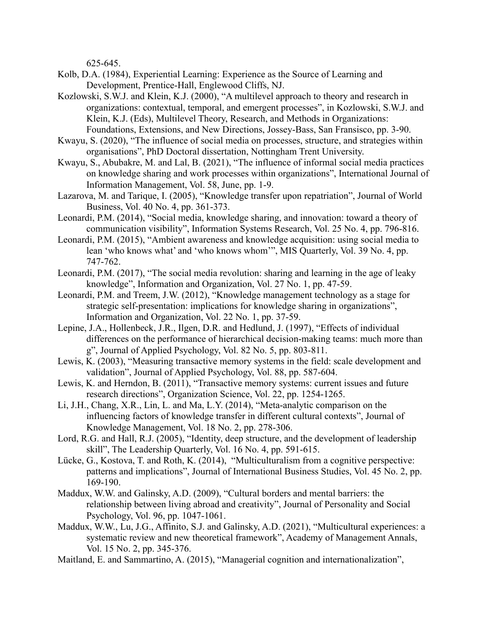625-645.

- Kolb, D.A. (1984), Experiential Learning: Experience as the Source of Learning and Development, Prentice-Hall, Englewood Cliffs, NJ.
- Kozlowski, S.W.J. and Klein, K.J. (2000), "A multilevel approach to theory and research in organizations: contextual, temporal, and emergent processes", in Kozlowski, S.W.J. and Klein, K.J. (Eds), Multilevel Theory, Research, and Methods in Organizations: Foundations, Extensions, and New Directions, Jossey-Bass, San Fransisco, pp. 3-90.
- Kwayu, S. (2020), "The influence of social media on processes, structure, and strategies within organisations", PhD Doctoral dissertation, Nottingham Trent University.
- Kwayu, S., Abubakre, M. and Lal, B. (2021), "The influence of informal social media practices on knowledge sharing and work processes within organizations", International Journal of Information Management, Vol. 58, June, pp. 1-9.
- Lazarova, M. and Tarique, I. (2005), "Knowledge transfer upon repatriation", Journal of World Business, Vol. 40 No. 4, pp. 361-373.
- Leonardi, P.M. (2014), "Social media, knowledge sharing, and innovation: toward a theory of communication visibility", Information Systems Research, Vol. 25 No. 4, pp. 796-816.
- Leonardi, P.M. (2015), "Ambient awareness and knowledge acquisition: using social media to lean 'who knows what' and 'who knows whom'", MIS Quarterly, Vol. 39 No. 4, pp. 747-762.
- Leonardi, P.M. (2017), "The social media revolution: sharing and learning in the age of leaky knowledge", Information and Organization, Vol. 27 No. 1, pp. 47-59.
- Leonardi, P.M. and Treem, J.W. (2012), "Knowledge management technology as a stage for strategic self-presentation: implications for knowledge sharing in organizations", Information and Organization, Vol. 22 No. 1, pp. 37-59.
- Lepine, J.A., Hollenbeck, J.R., Ilgen, D.R. and Hedlund, J. (1997), "Effects of individual differences on the performance of hierarchical decision-making teams: much more than g", Journal of Applied Psychology, Vol. 82 No. 5, pp. 803-811.
- Lewis, K. (2003), "Measuring transactive memory systems in the field: scale development and validation", Journal of Applied Psychology, Vol. 88, pp. 587-604.
- Lewis, K. and Herndon, B. (2011), "Transactive memory systems: current issues and future research directions", Organization Science, Vol. 22, pp. 1254-1265.
- Li, J.H., Chang, X.R., Lin, L. and Ma, L.Y. (2014), "Meta-analytic comparison on the influencing factors of knowledge transfer in different cultural contexts", Journal of Knowledge Management, Vol. 18 No. 2, pp. 278-306.
- Lord, R.G. and Hall, R.J. (2005), "Identity, deep structure, and the development of leadership skill", The Leadership Quarterly, Vol. 16 No. 4, pp. 591-615.
- Lücke, G., Kostova, T. and Roth, K. (2014), "Multiculturalism from a cognitive perspective: patterns and implications", Journal of International Business Studies, Vol. 45 No. 2, pp. 169-190.
- Maddux, W.W. and Galinsky, A.D. (2009), "Cultural borders and mental barriers: the relationship between living abroad and creativity", Journal of Personality and Social Psychology, Vol. 96, pp. 1047-1061.
- Maddux, W.W., Lu, J.G., Affinito, S.J. and Galinsky, A.D. (2021), "Multicultural experiences: a systematic review and new theoretical framework", Academy of Management Annals, Vol. 15 No. 2, pp. 345-376.
- Maitland, E. and Sammartino, A. (2015), "Managerial cognition and internationalization",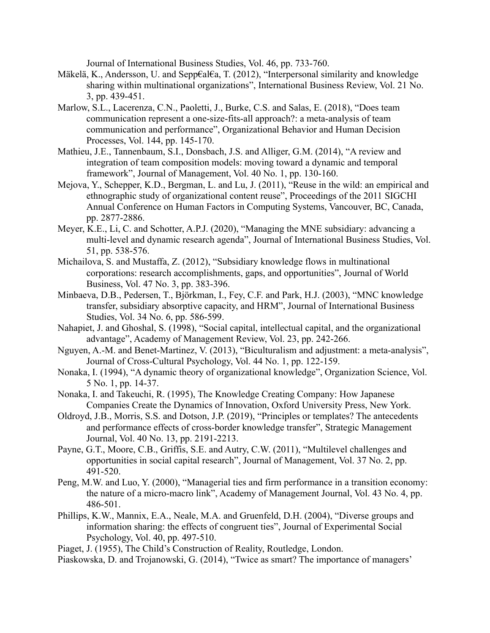Journal of International Business Studies, Vol. 46, pp. 733-760.

- Mäkelӓ, K., Andersson, U. and Sepp€al€a, T. (2012), "Interpersonal similarity and knowledge sharing within multinational organizations", International Business Review, Vol. 21 No. 3, pp. 439-451.
- Marlow, S.L., Lacerenza, C.N., Paoletti, J., Burke, C.S. and Salas, E. (2018), "Does team communication represent a one-size-fits-all approach?: a meta-analysis of team communication and performance", Organizational Behavior and Human Decision Processes, Vol. 144, pp. 145-170.
- Mathieu, J.E., Tannenbaum, S.I., Donsbach, J.S. and Alliger, G.M. (2014), "A review and integration of team composition models: moving toward a dynamic and temporal framework", Journal of Management, Vol. 40 No. 1, pp. 130-160.
- Mejova, Y., Schepper, K.D., Bergman, L. and Lu, J. (2011), "Reuse in the wild: an empirical and ethnographic study of organizational content reuse", Proceedings of the 2011 SIGCHI Annual Conference on Human Factors in Computing Systems, Vancouver, BC, Canada, pp. 2877-2886.
- Meyer, K.E., Li, C. and Schotter, A.P.J. (2020), "Managing the MNE subsidiary: advancing a multi-level and dynamic research agenda", Journal of International Business Studies, Vol. 51, pp. 538-576.
- Michailova, S. and Mustaffa, Z. (2012), "Subsidiary knowledge flows in multinational corporations: research accomplishments, gaps, and opportunities", Journal of World Business, Vol. 47 No. 3, pp. 383-396.
- Minbaeva, D.B., Pedersen, T., Bjӧrkman, I., Fey, C.F. and Park, H.J. (2003), "MNC knowledge transfer, subsidiary absorptive capacity, and HRM", Journal of International Business Studies, Vol. 34 No. 6, pp. 586-599.
- Nahapiet, J. and Ghoshal, S. (1998), "Social capital, intellectual capital, and the organizational advantage", Academy of Management Review, Vol. 23, pp. 242-266.
- Nguyen, A.-M. and Benet-Martinez, V. (2013), "Biculturalism and adjustment: a meta-analysis", Journal of Cross-Cultural Psychology, Vol. 44 No. 1, pp. 122-159.
- Nonaka, I. (1994), "A dynamic theory of organizational knowledge", Organization Science, Vol. 5 No. 1, pp. 14-37.
- Nonaka, I. and Takeuchi, R. (1995), The Knowledge Creating Company: How Japanese Companies Create the Dynamics of Innovation, Oxford University Press, New York.
- Oldroyd, J.B., Morris, S.S. and Dotson, J.P. (2019), "Principles or templates? The antecedents and performance effects of cross-border knowledge transfer", Strategic Management Journal, Vol. 40 No. 13, pp. 2191-2213.
- Payne, G.T., Moore, C.B., Griffis, S.E. and Autry, C.W. (2011), "Multilevel challenges and opportunities in social capital research", Journal of Management, Vol. 37 No. 2, pp. 491-520.
- Peng, M.W. and Luo, Y. (2000), "Managerial ties and firm performance in a transition economy: the nature of a micro-macro link", Academy of Management Journal, Vol. 43 No. 4, pp. 486-501.
- Phillips, K.W., Mannix, E.A., Neale, M.A. and Gruenfeld, D.H. (2004), "Diverse groups and information sharing: the effects of congruent ties", Journal of Experimental Social Psychology, Vol. 40, pp. 497-510.
- Piaget, J. (1955), The Child's Construction of Reality, Routledge, London.
- Piaskowska, D. and Trojanowski, G. (2014), "Twice as smart? The importance of managers'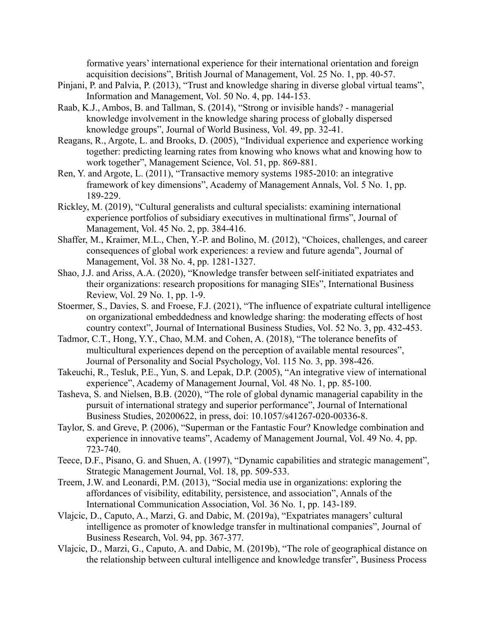formative years' international experience for their international orientation and foreign acquisition decisions", British Journal of Management, Vol. 25 No. 1, pp. 40-57.

- Pinjani, P. and Palvia, P. (2013), "Trust and knowledge sharing in diverse global virtual teams", Information and Management, Vol. 50 No. 4, pp. 144-153.
- Raab, K.J., Ambos, B. and Tallman, S. (2014), "Strong or invisible hands? managerial knowledge involvement in the knowledge sharing process of globally dispersed knowledge groups", Journal of World Business, Vol. 49, pp. 32-41.
- Reagans, R., Argote, L. and Brooks, D. (2005), "Individual experience and experience working together: predicting learning rates from knowing who knows what and knowing how to work together", Management Science, Vol. 51, pp. 869-881.
- Ren, Y. and Argote, L. (2011), "Transactive memory systems 1985-2010: an integrative framework of key dimensions", Academy of Management Annals, Vol. 5 No. 1, pp. 189-229.
- Rickley, M. (2019), "Cultural generalists and cultural specialists: examining international experience portfolios of subsidiary executives in multinational firms", Journal of Management, Vol. 45 No. 2, pp. 384-416.
- Shaffer, M., Kraimer, M.L., Chen, Y.-P. and Bolino, M. (2012), "Choices, challenges, and career consequences of global work experiences: a review and future agenda", Journal of Management, Vol. 38 No. 4, pp. 1281-1327.
- Shao, J.J. and Ariss, A.A. (2020), "Knowledge transfer between self-initiated expatriates and their organizations: research propositions for managing SIEs", International Business Review, Vol. 29 No. 1, pp. 1-9.
- Stoermer, S., Davies, S. and Froese, F.J. (2021), "The influence of expatriate cultural intelligence on organizational embeddedness and knowledge sharing: the moderating effects of host country context", Journal of International Business Studies, Vol. 52 No. 3, pp. 432-453.
- Tadmor, C.T., Hong, Y.Y., Chao, M.M. and Cohen, A. (2018), "The tolerance benefits of multicultural experiences depend on the perception of available mental resources", Journal of Personality and Social Psychology, Vol. 115 No. 3, pp. 398-426.
- Takeuchi, R., Tesluk, P.E., Yun, S. and Lepak, D.P. (2005), "An integrative view of international experience", Academy of Management Journal, Vol. 48 No. 1, pp. 85-100.
- Tasheva, S. and Nielsen, B.B. (2020), "The role of global dynamic managerial capability in the pursuit of international strategy and superior performance", Journal of International Business Studies, 20200622, in press, doi: 10.1057/s41267-020-00336-8.
- Taylor, S. and Greve, P. (2006), "Superman or the Fantastic Four? Knowledge combination and experience in innovative teams", Academy of Management Journal, Vol. 49 No. 4, pp. 723-740.
- Teece, D.F., Pisano, G. and Shuen, A. (1997), "Dynamic capabilities and strategic management", Strategic Management Journal, Vol. 18, pp. 509-533.
- Treem, J.W. and Leonardi, P.M. (2013), "Social media use in organizations: exploring the affordances of visibility, editability, persistence, and association", Annals of the International Communication Association, Vol. 36 No. 1, pp. 143-189.
- Vlajcic, D., Caputo, A., Marzi, G. and Dabic, M. (2019a), "Expatriates managers' cultural intelligence as promoter of knowledge transfer in multinational companies", Journal of Business Research, Vol. 94, pp. 367-377.
- Vlajcic, D., Marzi, G., Caputo, A. and Dabic, M. (2019b), "The role of geographical distance on the relationship between cultural intelligence and knowledge transfer", Business Process